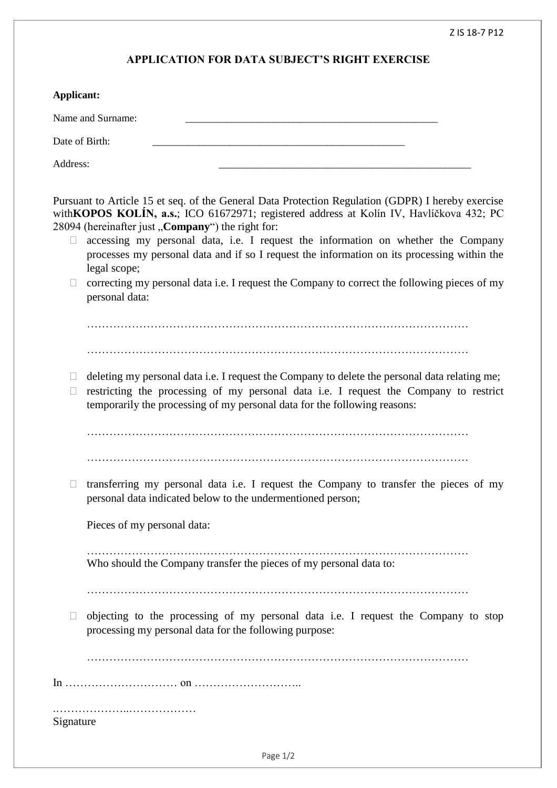## **APPLICATION FOR DATA SUBJECT'S RIGHT EXERCISE**

| Applicant:                                                                                                                                                                                                                                                                                                                                                                                                                                                                                                                                                                          |
|-------------------------------------------------------------------------------------------------------------------------------------------------------------------------------------------------------------------------------------------------------------------------------------------------------------------------------------------------------------------------------------------------------------------------------------------------------------------------------------------------------------------------------------------------------------------------------------|
| Name and Surname:                                                                                                                                                                                                                                                                                                                                                                                                                                                                                                                                                                   |
| Date of Birth:                                                                                                                                                                                                                                                                                                                                                                                                                                                                                                                                                                      |
| Address:                                                                                                                                                                                                                                                                                                                                                                                                                                                                                                                                                                            |
| Pursuant to Article 15 et seq. of the General Data Protection Regulation (GDPR) I hereby exercise<br>with KOPOS KOLÍN, a.s.; ICO 61672971; registered address at Kolín IV, Havlíčkova 432; PC<br>28094 (hereinafter just "Company") the right for:<br>accessing my personal data, i.e. I request the information on whether the Company<br>U.<br>processes my personal data and if so I request the information on its processing within the<br>legal scope;<br>correcting my personal data i.e. I request the Company to correct the following pieces of my<br>П<br>personal data: |
| deleting my personal data i.e. I request the Company to delete the personal data relating me;<br>Ш<br>restricting the processing of my personal data i.e. I request the Company to restrict<br>$\Box$<br>temporarily the processing of my personal data for the following reasons:                                                                                                                                                                                                                                                                                                  |
| transferring my personal data i.e. I request the Company to transfer the pieces of my                                                                                                                                                                                                                                                                                                                                                                                                                                                                                               |
| personal data indicated below to the undermentioned person;<br>Pieces of my personal data:                                                                                                                                                                                                                                                                                                                                                                                                                                                                                          |
| Who should the Company transfer the pieces of my personal data to:<br>objecting to the processing of my personal data i.e. I request the Company to stop<br>$\Box$<br>processing my personal data for the following purpose:                                                                                                                                                                                                                                                                                                                                                        |
| Signature                                                                                                                                                                                                                                                                                                                                                                                                                                                                                                                                                                           |